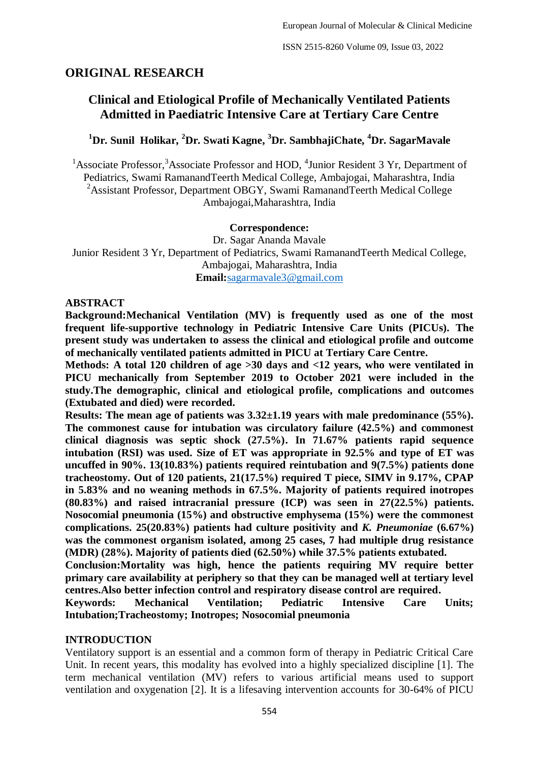# **ORIGINAL RESEARCH**

# **Clinical and Etiological Profile of Mechanically Ventilated Patients Admitted in Paediatric Intensive Care at Tertiary Care Centre**

# **<sup>1</sup>Dr. Sunil Holikar, <sup>2</sup>Dr. Swati Kagne, <sup>3</sup>Dr. SambhajiChate, <sup>4</sup>Dr. SagarMavale**

<sup>1</sup> Associate Professor,<sup>3</sup> Associate Professor and HOD, <sup>4</sup> Junior Resident 3 Yr, Department of Pediatrics, Swami RamanandTeerth Medical College, Ambajogai, Maharashtra, India <sup>2</sup>Assistant Professor, Department OBGY, Swami RamanandTeerth Medical College Ambajogai,Maharashtra, India

### **Correspondence:**

Dr. Sagar Ananda Mavale Junior Resident 3 Yr, Department of Pediatrics, Swami RamanandTeerth Medical College, Ambajogai, Maharashtra, India **Email:**[sagarmavale3@gmail.com](mailto:sagarmavale3@gmail.com)

### **ABSTRACT**

**Background:Mechanical Ventilation (MV) is frequently used as one of the most frequent life-supportive technology in Pediatric Intensive Care Units (PICUs). The present study was undertaken to assess the clinical and etiological profile and outcome of mechanically ventilated patients admitted in PICU at Tertiary Care Centre.** 

**Methods: A total 120 children of age >30 days and <12 years, who were ventilated in PICU mechanically from September 2019 to October 2021 were included in the study.The demographic, clinical and etiological profile, complications and outcomes (Extubated and died) were recorded.**

**Results: The mean age of patients was 3.32±1.19 years with male predominance (55%). The commonest cause for intubation was circulatory failure (42.5%) and commonest clinical diagnosis was septic shock (27.5%). In 71.67% patients rapid sequence intubation (RSI) was used. Size of ET was appropriate in 92.5% and type of ET was uncuffed in 90%. 13(10.83%) patients required reintubation and 9(7.5%) patients done tracheostomy. Out of 120 patients, 21(17.5%) required T piece, SIMV in 9.17%, CPAP in 5.83% and no weaning methods in 67.5%. Majority of patients required inotropes (80.83%) and raised intracranial pressure (ICP) was seen in 27(22.5%) patients. Nosocomial pneumonia (15%) and obstructive emphysema (15%) were the commonest complications. 25(20.83%) patients had culture positivity and** *K. Pneumoniae* **(6.67%) was the commonest organism isolated, among 25 cases, 7 had multiple drug resistance (MDR) (28%). Majority of patients died (62.50%) while 37.5% patients extubated.** 

**Conclusion:Mortality was high, hence the patients requiring MV require better primary care availability at periphery so that they can be managed well at tertiary level centres.Also better infection control and respiratory disease control are required.** 

**Keywords: Mechanical Ventilation; Pediatric Intensive Care Units; Intubation;Tracheostomy; Inotropes; Nosocomial pneumonia**

## **INTRODUCTION**

Ventilatory support is an essential and a common form of therapy in Pediatric Critical Care Unit. In recent years, this modality has evolved into a highly specialized discipline [1]. The term mechanical ventilation (MV) refers to various artificial means used to support ventilation and oxygenation [2]. It is a lifesaving intervention accounts for 30-64% of PICU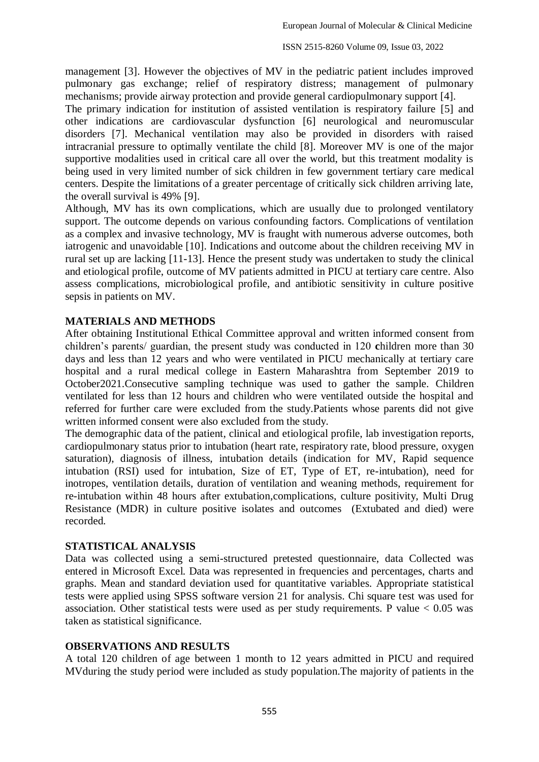management [3]. However the objectives of MV in the pediatric patient includes improved pulmonary gas exchange; relief of respiratory distress; management of pulmonary mechanisms; provide airway protection and provide general cardiopulmonary support [4].

The primary indication for institution of assisted ventilation is respiratory failure [5] and other indications are cardiovascular dysfunction [6] neurological and neuromuscular disorders [7]. Mechanical ventilation may also be provided in disorders with raised intracranial pressure to optimally ventilate the child [8]. Moreover MV is one of the major supportive modalities used in critical care all over the world, but this treatment modality is being used in very limited number of sick children in few government tertiary care medical centers. Despite the limitations of a greater percentage of critically sick children arriving late, the overall survival is 49% [9].

Although, MV has its own complications, which are usually due to prolonged ventilatory support. The outcome depends on various confounding factors. Complications of ventilation as a complex and invasive technology, MV is fraught with numerous adverse outcomes, both iatrogenic and unavoidable [10]. Indications and outcome about the children receiving MV in rural set up are lacking [11-13]. Hence the present study was undertaken to study the clinical and etiological profile, outcome of MV patients admitted in PICU at tertiary care centre. Also assess complications, microbiological profile, and antibiotic sensitivity in culture positive sepsis in patients on MV.

### **MATERIALS AND METHODS**

After obtaining Institutional Ethical Committee approval and written informed consent from children's parents/ guardian, the present study was conducted in 120 **c**hildren more than 30 days and less than 12 years and who were ventilated in PICU mechanically at tertiary care hospital and a rural medical college in Eastern Maharashtra from September 2019 to October2021.Consecutive sampling technique was used to gather the sample. Children ventilated for less than 12 hours and children who were ventilated outside the hospital and referred for further care were excluded from the study.Patients whose parents did not give written informed consent were also excluded from the study.

The demographic data of the patient, clinical and etiological profile, lab investigation reports, cardiopulmonary status prior to intubation (heart rate, respiratory rate, blood pressure, oxygen saturation), diagnosis of illness, intubation details (indication for MV, Rapid sequence intubation (RSI) used for intubation, Size of ET, Type of ET, re-intubation), need for inotropes, ventilation details, duration of ventilation and weaning methods, requirement for re-intubation within 48 hours after extubation,complications, culture positivity, Multi Drug Resistance (MDR) in culture positive isolates and outcomes (Extubated and died) were recorded.

### **STATISTICAL ANALYSIS**

Data was collected using a semi-structured pretested questionnaire, data Collected was entered in Microsoft Excel. Data was represented in frequencies and percentages, charts and graphs. Mean and standard deviation used for quantitative variables. Appropriate statistical tests were applied using SPSS software version 21 for analysis. Chi square test was used for association. Other statistical tests were used as per study requirements. P value  $< 0.05$  was taken as statistical significance.

#### **OBSERVATIONS AND RESULTS**

A total 120 children of age between 1 month to 12 years admitted in PICU and required MVduring the study period were included as study population.The majority of patients in the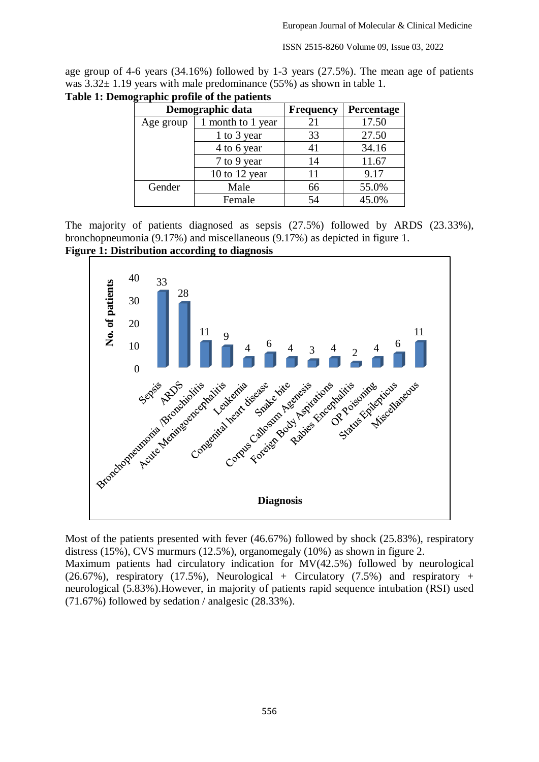ISSN 2515-8260 Volume 09, Issue 03, 2022

age group of 4-6 years (34.16%) followed by 1-3 years (27.5%). The mean age of patients was  $3.32 \pm 1.19$  years with male predominance (55%) as shown in table 1.

|           | Demographic data  | <b>Frequency</b> | Percentage |
|-----------|-------------------|------------------|------------|
| Age group | 1 month to 1 year | 21               | 17.50      |
|           | 1 to 3 year       | 33               | 27.50      |
|           | 4 to 6 year       | 41               | 34.16      |
|           | 7 to 9 year       | 14               | 11.67      |
|           | 10 to 12 year     | 11               | 9.17       |
| Gender    | Male              | 66               | 55.0%      |
|           | Female            | 54               | 45.0%      |

**Table 1: Demographic profile of the patients**

The majority of patients diagnosed as sepsis (27.5%) followed by ARDS (23.33%), bronchopneumonia (9.17%) and miscellaneous (9.17%) as depicted in figure 1.

**Figure 1: Distribution according to diagnosis**



Most of the patients presented with fever (46.67%) followed by shock (25.83%), respiratory distress (15%), CVS murmurs (12.5%), organomegaly (10%) as shown in figure 2. Maximum patients had circulatory indication for MV(42.5%) followed by neurological  $(26.67\%)$ , respiratory  $(17.5\%)$ , Neurological + Circulatory  $(7.5\%)$  and respiratory + neurological (5.83%).However, in majority of patients rapid sequence intubation (RSI) used (71.67%) followed by sedation / analgesic (28.33%).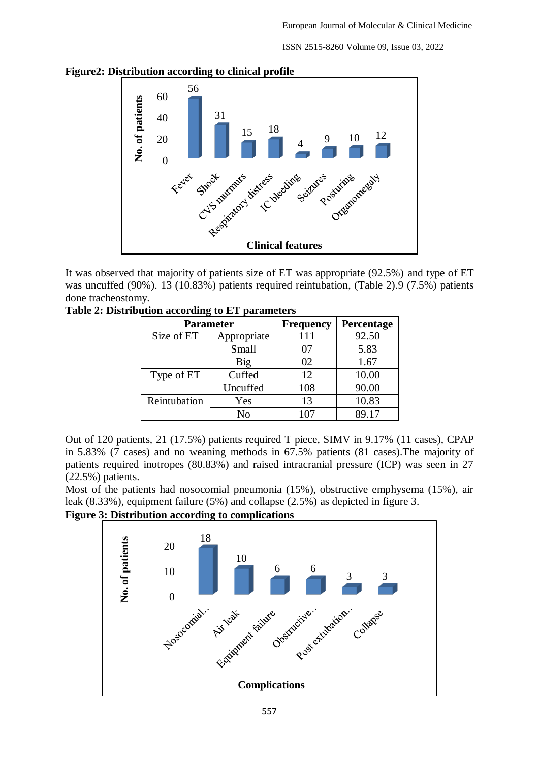ISSN 2515-8260 Volume 09, Issue 03, 2022



**Figure2: Distribution according to clinical profile** 

It was observed that majority of patients size of ET was appropriate (92.5%) and type of ET was uncuffed (90%). 13 (10.83%) patients required reintubation, (Table 2).9 (7.5%) patients done tracheostomy.

| <b>Parameter</b> |             | <b>Frequency</b> | Percentage |
|------------------|-------------|------------------|------------|
| Size of ET       | Appropriate | 111              | 92.50      |
|                  | Small       | 07               | 5.83       |
|                  | Big         | 02               | 1.67       |
| Type of ET       | Cuffed      | 12               | 10.00      |
|                  | Uncuffed    | 108              | 90.00      |
| Reintubation     | Yes         | 13               | 10.83      |
|                  |             |                  | 89 17      |

**Table 2: Distribution according to ET parameters** 

Out of 120 patients, 21 (17.5%) patients required T piece, SIMV in 9.17% (11 cases), CPAP in 5.83% (7 cases) and no weaning methods in 67.5% patients (81 cases).The majority of patients required inotropes (80.83%) and raised intracranial pressure (ICP) was seen in 27 (22.5%) patients.

Most of the patients had nosocomial pneumonia (15%), obstructive emphysema (15%), air leak (8.33%), equipment failure (5%) and collapse (2.5%) as depicted in figure 3.

**Figure 3: Distribution according to complications**

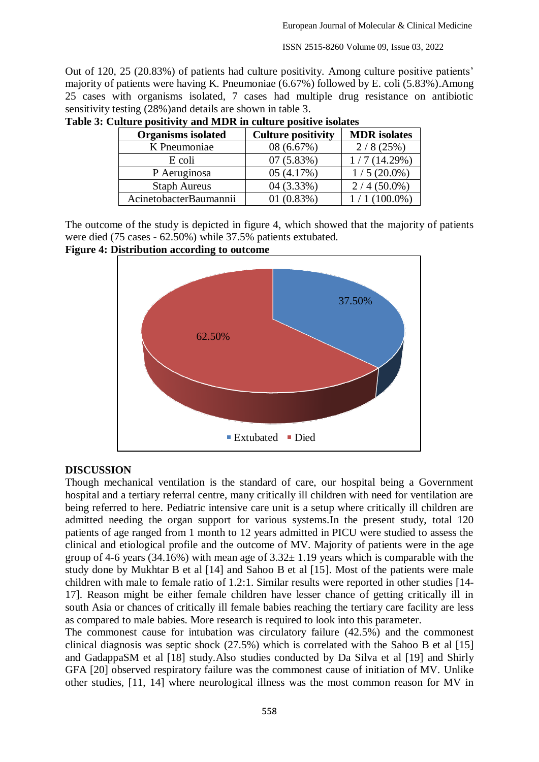ISSN 2515-8260 Volume 09, Issue 03, 2022

Out of 120, 25 (20.83%) of patients had culture positivity. Among culture positive patients' majority of patients were having K. Pneumoniae (6.67%) followed by E. coli (5.83%).Among 25 cases with organisms isolated, 7 cases had multiple drug resistance on antibiotic sensitivity testing  $(28%)$  and details are shown in table 3.

| <b>Organisms</b> isolated | <b>Culture positivity</b> | <b>MDR</b> isolates |
|---------------------------|---------------------------|---------------------|
| K Pneumoniae              | 08 (6.67%)                | 2/8(25%)            |
| E coli                    | 07(5.83%)                 | 1/7(14.29%)         |
| P Aeruginosa              | 05(4.17%)                 | $1/5(20.0\%)$       |
| <b>Staph Aureus</b>       | 04 (3.33%)                | $2/4(50.0\%)$       |
| AcinetobacterBaumannii    | 01(0.83%)                 | $(100.0\%)$         |

**Table 3: Culture positivity and MDR in culture positive isolates**

The outcome of the study is depicted in figure 4, which showed that the majority of patients were died (75 cases - 62.50%) while 37.5% patients extubated.

#### **Figure 4: Distribution according to outcome**



#### **DISCUSSION**

Though mechanical ventilation is the standard of care, our hospital being a Government hospital and a tertiary referral centre, many critically ill children with need for ventilation are being referred to here. Pediatric intensive care unit is a setup where critically ill children are admitted needing the organ support for various systems.In the present study, total 120 patients of age ranged from 1 month to 12 years admitted in PICU were studied to assess the clinical and etiological profile and the outcome of MV. Majority of patients were in the age group of 4-6 years (34.16%) with mean age of  $3.32 \pm 1.19$  years which is comparable with the study done by Mukhtar B et al [14] and Sahoo B et al [15]. Most of the patients were male children with male to female ratio of 1.2:1. Similar results were reported in other studies [14- 17]. Reason might be either female children have lesser chance of getting critically ill in south Asia or chances of critically ill female babies reaching the tertiary care facility are less as compared to male babies. More research is required to look into this parameter.

The commonest cause for intubation was circulatory failure (42.5%) and the commonest clinical diagnosis was septic shock (27.5%) which is correlated with the Sahoo B et al [15] and GadappaSM et al [18] study.Also studies conducted by Da Silva et al [19] and Shirly GFA [20] observed respiratory failure was the commonest cause of initiation of MV. Unlike other studies, [11, 14] where neurological illness was the most common reason for MV in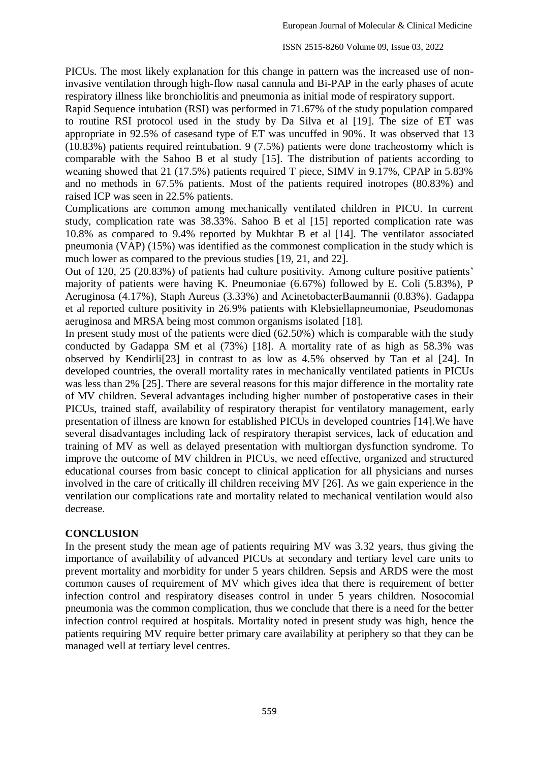PICUs. The most likely explanation for this change in pattern was the increased use of noninvasive ventilation through high-flow nasal cannula and Bi-PAP in the early phases of acute respiratory illness like bronchiolitis and pneumonia as initial mode of respiratory support.

Rapid Sequence intubation (RSI) was performed in 71.67% of the study population compared to routine RSI protocol used in the study by Da Silva et al [19]. The size of ET was appropriate in 92.5% of casesand type of ET was uncuffed in 90%. It was observed that 13 (10.83%) patients required reintubation. 9 (7.5%) patients were done tracheostomy which is comparable with the Sahoo B et al study [15]. The distribution of patients according to weaning showed that 21 (17.5%) patients required T piece, SIMV in 9.17%, CPAP in 5.83% and no methods in 67.5% patients. Most of the patients required inotropes (80.83%) and raised ICP was seen in 22.5% patients.

Complications are common among mechanically ventilated children in PICU. In current study, complication rate was 38.33%. Sahoo B et al [15] reported complication rate was 10.8% as compared to 9.4% reported by Mukhtar B et al [14]. The ventilator associated pneumonia (VAP) (15%) was identified as the commonest complication in the study which is much lower as compared to the previous studies [19, 21, and 22].

Out of 120, 25 (20.83%) of patients had culture positivity. Among culture positive patients' majority of patients were having K. Pneumoniae (6.67%) followed by E. Coli (5.83%), P Aeruginosa (4.17%), Staph Aureus (3.33%) and AcinetobacterBaumannii (0.83%). Gadappa et al reported culture positivity in 26.9% patients with Klebsiellapneumoniae, Pseudomonas aeruginosa and MRSA being most common organisms isolated [18].

In present study most of the patients were died (62.50%) which is comparable with the study conducted by Gadappa SM et al (73%) [18]. A mortality rate of as high as 58.3% was observed by Kendirli[23] in contrast to as low as 4.5% observed by Tan et al [24]. In developed countries, the overall mortality rates in mechanically ventilated patients in PICUs was less than 2% [25]. There are several reasons for this major difference in the mortality rate of MV children. Several advantages including higher number of postoperative cases in their PICUs, trained staff, availability of respiratory therapist for ventilatory management, early presentation of illness are known for established PICUs in developed countries [14].We have several disadvantages including lack of respiratory therapist services, lack of education and training of MV as well as delayed presentation with multiorgan dysfunction syndrome. To improve the outcome of MV children in PICUs, we need effective, organized and structured educational courses from basic concept to clinical application for all physicians and nurses involved in the care of critically ill children receiving MV [26]. As we gain experience in the ventilation our complications rate and mortality related to mechanical ventilation would also decrease.

#### **CONCLUSION**

In the present study the mean age of patients requiring MV was 3.32 years, thus giving the importance of availability of advanced PICUs at secondary and tertiary level care units to prevent mortality and morbidity for under 5 years children. Sepsis and ARDS were the most common causes of requirement of MV which gives idea that there is requirement of better infection control and respiratory diseases control in under 5 years children. Nosocomial pneumonia was the common complication, thus we conclude that there is a need for the better infection control required at hospitals. Mortality noted in present study was high, hence the patients requiring MV require better primary care availability at periphery so that they can be managed well at tertiary level centres.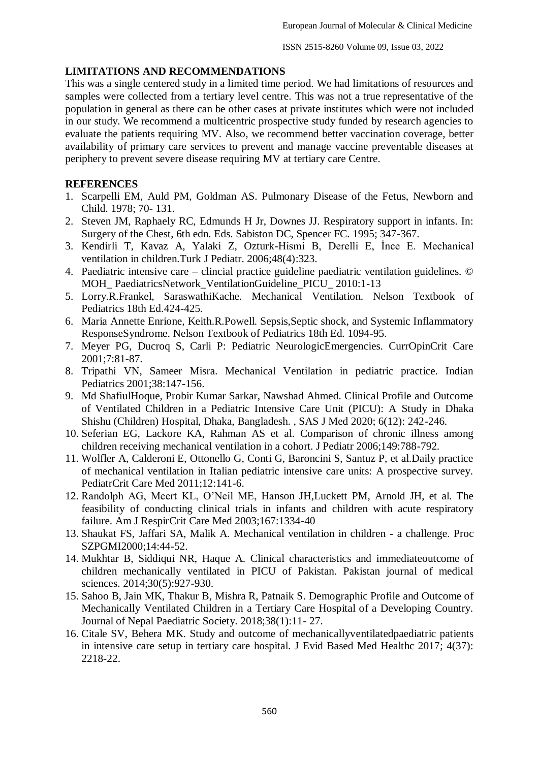## **LIMITATIONS AND RECOMMENDATIONS**

This was a single centered study in a limited time period. We had limitations of resources and samples were collected from a tertiary level centre. This was not a true representative of the population in general as there can be other cases at private institutes which were not included in our study. We recommend a multicentric prospective study funded by research agencies to evaluate the patients requiring MV. Also, we recommend better vaccination coverage, better availability of primary care services to prevent and manage vaccine preventable diseases at periphery to prevent severe disease requiring MV at tertiary care Centre.

## **REFERENCES**

- 1. Scarpelli EM, Auld PM, Goldman AS. Pulmonary Disease of the Fetus, Newborn and Child. 1978; 70- 131.
- 2. Steven JM, Raphaely RC, Edmunds H Jr, Downes JJ. Respiratory support in infants. In: Surgery of the Chest, 6th edn. Eds. Sabiston DC, Spencer FC. 1995; 347-367.
- 3. Kendirli T, Kavaz A, Yalaki Z, Ozturk-Hismi B, Derelli E, İnce E. Mechanical ventilation in children.Turk J Pediatr. 2006;48(4):323.
- 4. Paediatric intensive care clincial practice guideline paediatric ventilation guidelines. © MOH\_ PaediatricsNetwork\_VentilationGuideline\_PICU\_ 2010:1-13
- 5. Lorry.R.Frankel, SaraswathiKache. Mechanical Ventilation. Nelson Textbook of Pediatrics 18th Ed.424-425.
- 6. Maria Annette Enrione, Keith.R.Powell. Sepsis,Septic shock, and Systemic Inflammatory ResponseSyndrome. Nelson Textbook of Pediatrics 18th Ed. 1094-95.
- 7. Meyer PG, Ducroq S, Carli P: Pediatric NeurologicEmergencies. CurrOpinCrit Care 2001;7:81-87.
- 8. Tripathi VN, Sameer Misra. Mechanical Ventilation in pediatric practice. Indian Pediatrics 2001;38:147-156.
- 9. Md ShafiulHoque, Probir Kumar Sarkar, Nawshad Ahmed. Clinical Profile and Outcome of Ventilated Children in a Pediatric Intensive Care Unit (PICU): A Study in Dhaka Shishu (Children) Hospital, Dhaka, Bangladesh. , SAS J Med 2020; 6(12): 242-246.
- 10. Seferian EG, Lackore KA, Rahman AS et al. Comparison of chronic illness among children receiving mechanical ventilation in a cohort. J Pediatr 2006;149:788-792.
- 11. Wolfler A, Calderoni E, Ottonello G, Conti G, Baroncini S, Santuz P, et al.Daily practice of mechanical ventilation in Italian pediatric intensive care units: A prospective survey. PediatrCrit Care Med 2011;12:141-6.
- 12. Randolph AG, Meert KL, O'Neil ME, Hanson JH,Luckett PM, Arnold JH, et al. The feasibility of conducting clinical trials in infants and children with acute respiratory failure. Am J RespirCrit Care Med 2003;167:1334-40
- 13. Shaukat FS, Jaffari SA, Malik A. Mechanical ventilation in children a challenge. Proc SZPGMI2000;14:44-52.
- 14. Mukhtar B, Siddiqui NR, Haque A. Clinical characteristics and immediateoutcome of children mechanically ventilated in PICU of Pakistan. Pakistan journal of medical sciences. 2014;30(5):927-930.
- 15. Sahoo B, Jain MK, Thakur B, Mishra R, Patnaik S. Demographic Profile and Outcome of Mechanically Ventilated Children in a Tertiary Care Hospital of a Developing Country. Journal of Nepal Paediatric Society. 2018;38(1):11- 27.
- 16. Citale SV, Behera MK. Study and outcome of mechanicallyventilatedpaediatric patients in intensive care setup in tertiary care hospital. J Evid Based Med Healthc 2017; 4(37): 2218-22.